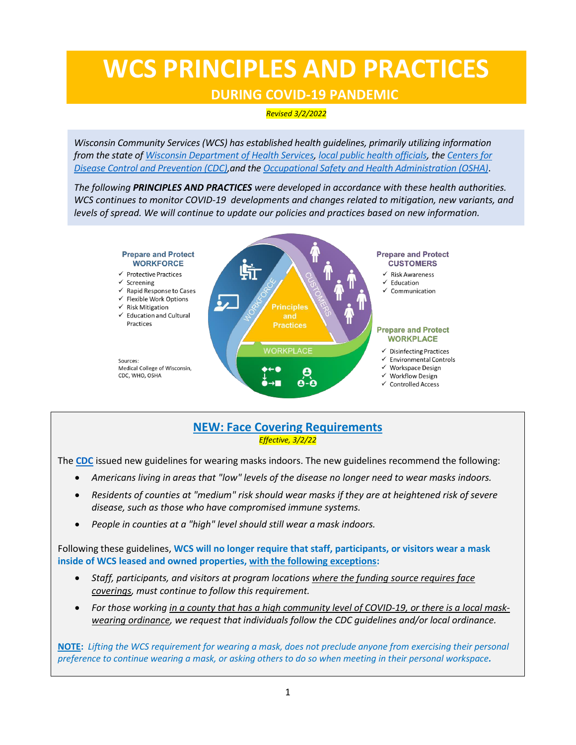# **WCS PRINCIPLES AND PRACTICES**

## **DURING COVID-19 PANDEMIC**

*Revised 3/2/2022*

*Wisconsin Community Services (WCS) has established health guidelines, primarily utilizing information from the state o[f Wisconsin Department of Health Services,](https://www.dhs.wisconsin.gov/) [local public health officials,](https://city.milwaukee.gov/coronavirus) th[e Centers for](mailto:https://www.cdc.gov/coronavirus/2019-ncov/index.html) [Disease Control and Prevention \(CDC\),](mailto:https://www.cdc.gov/coronavirus/2019-ncov/index.html)and the [Occupational Safety and Health Administration \(OSHA\)](https://www.osha.gov/)*.

*The following PRINCIPLES AND PRACTICES were developed in accordance with these health authorities. WCS continues to monitor COVID-19 developments and changes related to mitigation, new variants, and levels of spread. We will continue to update our policies and practices based on new information.*



## **NEW: Face Covering Requirements** *Effective, 3/2/22*

The **[CDC](https://www.cdc.gov/)** issued new guidelines for wearing masks indoors. The new guidelines recommend the following:

- *Americans living in areas that "low" levels of the disease no longer need to wear masks indoors.*
- *Residents of counties at "medium" risk should wear masks if they are at heightened risk of severe disease, such as those who have compromised immune systems.*
- *People in counties at a "high" level should still wear a mask indoors.*

Following these guidelines, **WCS will no longer require that staff, participants, or visitors wear a mask inside of WCS leased and owned properties, with the following exceptions:**

- *Staff, participants, and visitors at program locations where the funding source requires face coverings, must continue to follow this requirement.*
- *For those working in a county that has a high community level of COVID-19, or there is a local maskwearing ordinance, we request that individuals follow the CDC guidelines and/or local ordinance.*

**NOTE:** *Lifting the WCS requirement for wearing a mask, does not preclude anyone from exercising their personal preference to continue wearing a mask, or asking others to do so when meeting in their personal workspace.*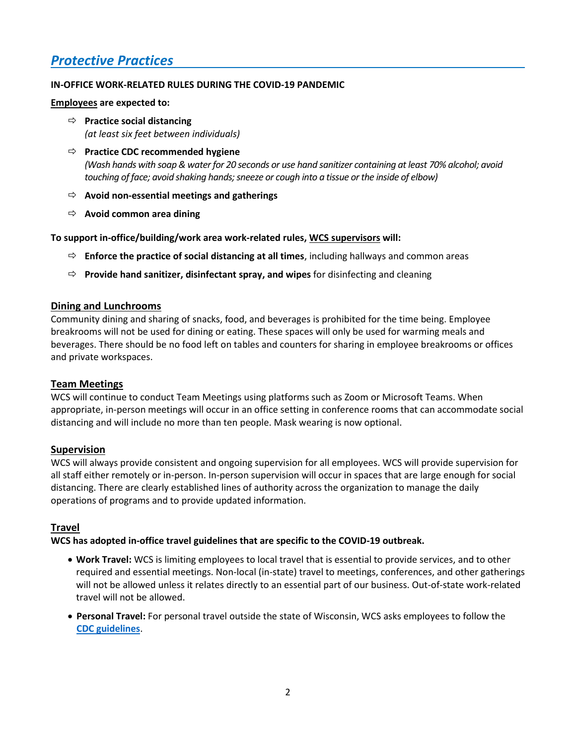# *Protective Practices*

#### **IN-OFFICE WORK-RELATED RULES DURING THE COVID-19 PANDEMIC**

**Employees are expected to:**

- **Practice social distancing** *(at least six feet between individuals)*
- **Practice CDC recommended hygiene** *(Wash hands with soap& waterfor 20 seconds or use hand sanitizer containing at least 70% alcohol; avoid touching of face; avoid shaking hands; sneeze or cough into a tissue or the inside of elbow)*
- **Avoid non-essential meetings and gatherings**
- **Avoid common area dining**

**To support in-office/building/work area work-related rules, WCS supervisors will:**

- **Enforce the practice of social distancing at all times**, including hallways and common areas
- **Provide hand sanitizer, disinfectant spray, and wipes** for disinfecting and cleaning

#### **Dining and Lunchrooms**

Community dining and sharing of snacks, food, and beverages is prohibited for the time being. Employee breakrooms will not be used for dining or eating. These spaces will only be used for warming meals and beverages. There should be no food left on tables and counters for sharing in employee breakrooms or offices and private workspaces.

#### **Team Meetings**

WCS will continue to conduct Team Meetings using platforms such as Zoom or Microsoft Teams. When appropriate, in-person meetings will occur in an office setting in conference rooms that can accommodate social distancing and will include no more than ten people. Mask wearing is now optional.

### **Supervision**

WCS will always provide consistent and ongoing supervision for all employees. WCS will provide supervision for all staff either remotely or in-person. In-person supervision will occur in spaces that are large enough for social distancing. There are clearly established lines of authority across the organization to manage the daily operations of programs and to provide updated information.

### **Travel**

**WCS has adopted in-office travel guidelines that are specific to the COVID-19 outbreak.**

- **Work Travel:** WCS is limiting employees to local travel that is essential to provide services, and to other required and essential meetings. Non-local (in-state) travel to meetings, conferences, and other gatherings will not be allowed unless it relates directly to an essential part of our business. Out-of-state work-related travel will not be allowed.
- **Personal Travel:** For personal travel outside the state of Wisconsin, WCS asks employees to follow the **[CDC guidelines](https://www.cdc.gov/coronavirus/2019-ncov/travelers/travel-during-covid19.html)**.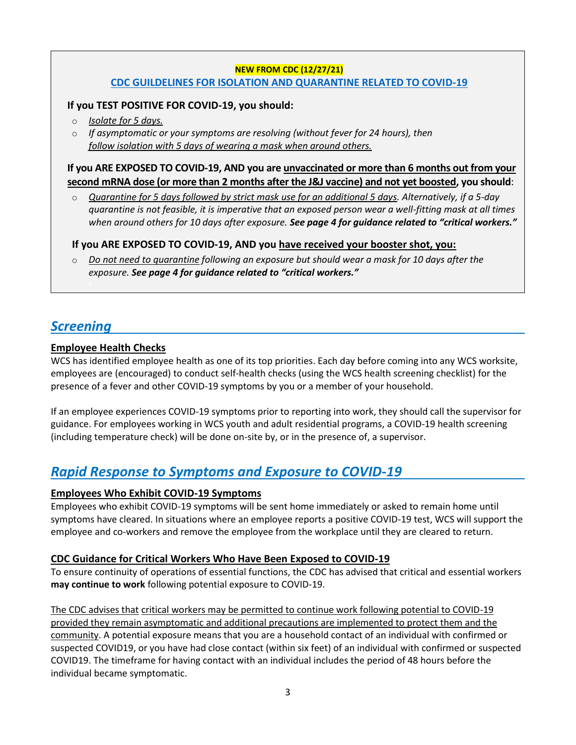## **NEW FROM CDC (12/27/21) [CDC GUILDELINES FOR ISOLATION AND QUARANTINE RELATED TO COVID-19](https://www.cdc.gov/coronavirus/2019-ncov/your-health/quarantine-isolation.html?CDC_AA_refVal=https%3A%2F%2Fwww.cdc.gov%2Fcoronavirus%2F2019-ncov%2Fif-you-are-sick%2Fquarantine.html)**

## **If you TEST POSITIVE FOR COVID-19, you should:**

- o *Isolate for 5 days.*
- o *If asymptomatic or your symptoms are resolving (without fever for 24 hours), then follow isolation with 5 days of wearing a mask when around others.*

**If you ARE EXPOSED TO COVID-19, AND you are unvaccinated or more than 6 months out from your second mRNA dose (or more than 2 months after the J&J vaccine) and not yet boosted, you should**:

o *Quarantine for 5 days followed by strict mask use for an additional 5 days. Alternatively, if a 5-day quarantine is not feasible, it is imperative that an exposed person wear a well-fitting mask at all times when around others for 10 days after exposure. See page 4 for guidance related to "critical workers."*

## **If you ARE EXPOSED TO COVID-19, AND you have received your booster shot, you:**

o *Do not need to quarantine following an exposure but should wear a mask for 10 days after the exposure. See page 4 for guidance related to "critical workers."*

# *Screening*

## **Employee Health Checks**

WCS has identified employee health as one of its top priorities. Each day before coming into any WCS worksite, employees are (encouraged) to conduct self-health checks (using the WCS health screening checklist) for the presence of a fever and other COVID-19 symptoms by you or a member of your household.

If an employee experiences COVID-19 symptoms prior to reporting into work, they should call the supervisor for guidance. For employees working in WCS youth and adult residential programs, a COVID-19 health screening (including temperature check) will be done on-site by, or in the presence of, a supervisor.

# *Rapid Response to Symptoms and Exposure to COVID-19*

## **Employees Who Exhibit COVID-19 Symptoms**

Employees who exhibit COVID-19 symptoms will be sent home immediately or asked to remain home until symptoms have cleared. In situations where an employee reports a positive COVID-19 test, WCS will support the employee and co-workers and remove the employee from the workplace until they are cleared to return.

## **CDC Guidance for Critical Workers Who Have Been Exposed to COVID-19**

To ensure continuity of operations of essential functions, the CDC has advised that critical and essential workers **may continue to work** following potential exposure to COVID-19.

The CDC advises that critical workers may be permitted to continue work following potential to COVID-19 provided they remain asymptomatic and additional precautions are implemented to protect them and the community. A potential exposure means that you are a household contact of an individual with confirmed or suspected COVID19, or you have had close contact (within six feet) of an individual with confirmed or suspected COVID19. The timeframe for having contact with an individual includes the period of 48 hours before the individual became symptomatic.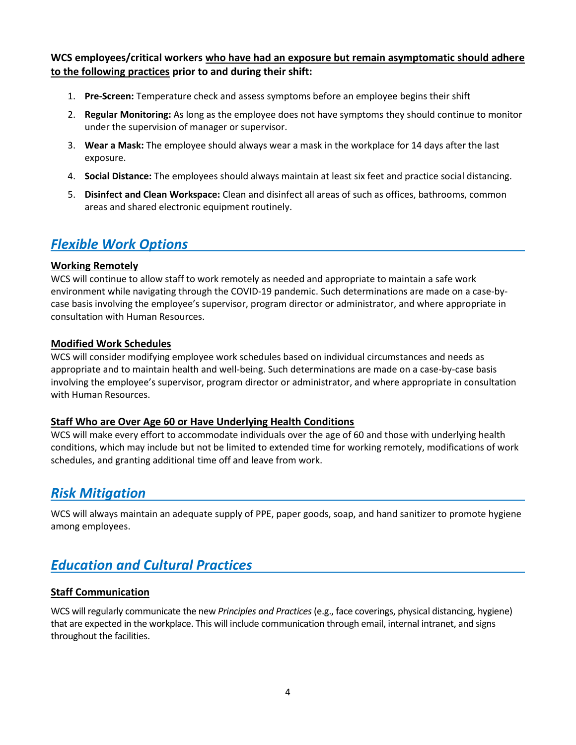**WCS employees/critical workers who have had an exposure but remain asymptomatic should adhere to the following practices prior to and during their shift:**

- 1. **Pre-Screen:** Temperature check and assess symptoms before an employee begins their shift
- 2. **Regular Monitoring:** As long as the employee does not have symptoms they should continue to monitor under the supervision of manager or supervisor.
- 3. **Wear a Mask:** The employee should always wear a mask in the workplace for 14 days after the last exposure.
- 4. **Social Distance:** The employees should always maintain at least six feet and practice social distancing.
- 5. **Disinfect and Clean Workspace:** Clean and disinfect all areas of such as offices, bathrooms, common areas and shared electronic equipment routinely.

## *Flexible Work Options*

#### **Working Remotely**

WCS will continue to allow staff to work remotely as needed and appropriate to maintain a safe work environment while navigating through the COVID-19 pandemic. Such determinations are made on a case-bycase basis involving the employee's supervisor, program director or administrator, and where appropriate in consultation with Human Resources.

#### **Modified Work Schedules**

WCS will consider modifying employee work schedules based on individual circumstances and needs as appropriate and to maintain health and well-being. Such determinations are made on a case-by-case basis involving the employee's supervisor, program director or administrator, and where appropriate in consultation with Human Resources.

#### **Staff Who are Over Age 60 or Have Underlying Health Conditions**

WCS will make every effort to accommodate individuals over the age of 60 and those with underlying health conditions, which may include but not be limited to extended time for working remotely, modifications of work schedules, and granting additional time off and leave from work.

## *Risk Mitigation*

WCS will always maintain an adequate supply of PPE, paper goods, soap, and hand sanitizer to promote hygiene among employees.

## *Education and Cultural Practices*

### **Staff Communication**

WCS will regularly communicate the new *Principles and Practices* (e.g., face coverings, physical distancing, hygiene) that are expected in the workplace. This will include communication through email, internal intranet, and signs throughout the facilities.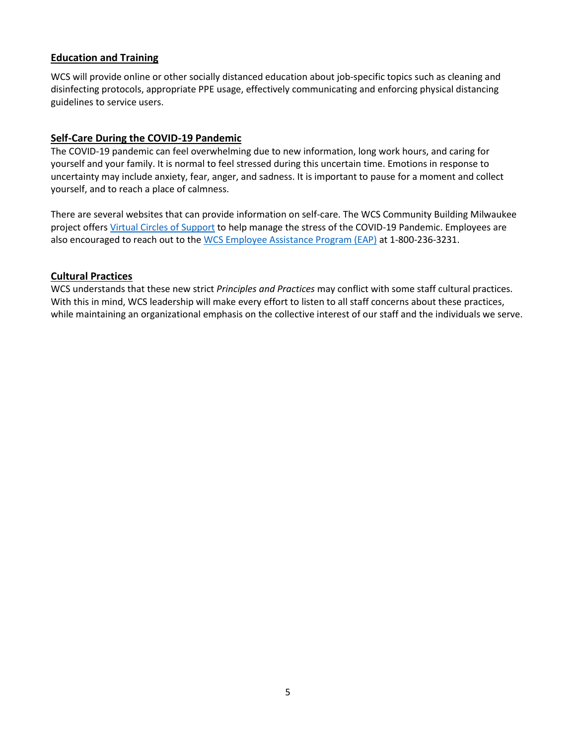### **Education and Training**

WCS will provide online or other socially distanced education about job-specific topics such as cleaning and disinfecting protocols, appropriate PPE usage, effectively communicating and enforcing physical distancing guidelines to service users.

#### **Self-Care During the COVID-19 Pandemic**

The COVID-19 pandemic can feel overwhelming due to new information, long work hours, and caring for yourself and your family. It is normal to feel stressed during this uncertain time. Emotions in response to uncertainty may include anxiety, fear, anger, and sadness. It is important to pause for a moment and collect yourself, and to reach a place of calmness.

There are several websites that can provide information on self-care. The WCS Community Building Milwaukee project offers [Virtual Circles of Support](https://www.wiscs.org/programs/comm/c/) to help manage the stress of the COVID-19 Pandemic. Employees are also encouraged to reach out to th[e WCS Employee Assistance Program \(EAP\)](https://employersolutions.aah.org/employee-assistance-program/?utm_medium=web&utm_source=redirect&utm_campaign=eap) at 1-800-236-3231.

#### **Cultural Practices**

WCS understands that these new strict *Principles and Practices* may conflict with some staff cultural practices. With this in mind, WCS leadership will make every effort to listen to all staff concerns about these practices, while maintaining an organizational emphasis on the collective interest of our staff and the individuals we serve.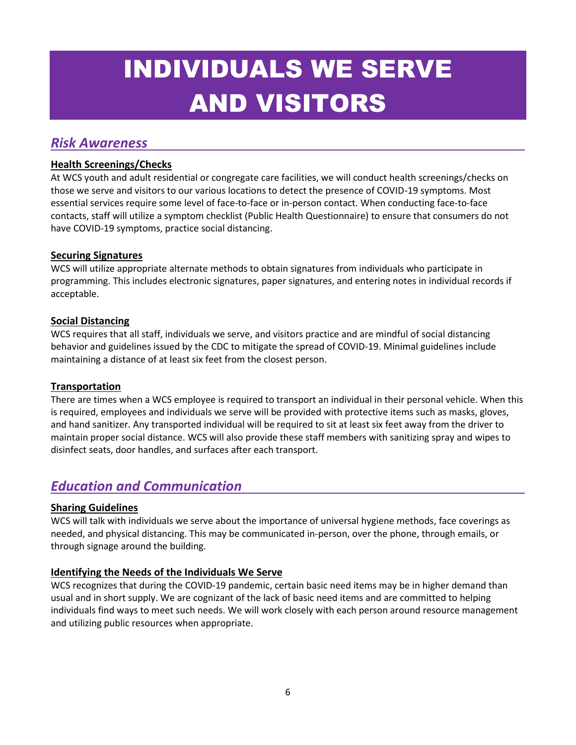# INDIVIDUALS WE SERVE AND VISITORS

## *Risk Awareness*

## **Health Screenings/Checks**

At WCS youth and adult residential or congregate care facilities, we will conduct health screenings/checks on those we serve and visitors to our various locations to detect the presence of COVID-19 symptoms. Most essential services require some level of face-to-face or in-person contact. When conducting face-to-face contacts, staff will utilize a symptom checklist (Public Health Questionnaire) to ensure that consumers do not have COVID-19 symptoms, practice social distancing.

## **Securing Signatures**

WCS will utilize appropriate alternate methods to obtain signatures from individuals who participate in programming. This includes electronic signatures, paper signatures, and entering notes in individual records if acceptable.

## **Social Distancing**

WCS requires that all staff, individuals we serve, and visitors practice and are mindful of social distancing behavior and guidelines issued by the CDC to mitigate the spread of COVID-19. Minimal guidelines include maintaining a distance of at least six feet from the closest person.

### **Transportation**

There are times when a WCS employee is required to transport an individual in their personal vehicle. When this is required, employees and individuals we serve will be provided with protective items such as masks, gloves, and hand sanitizer. Any transported individual will be required to sit at least six feet away from the driver to maintain proper social distance. WCS will also provide these staff members with sanitizing spray and wipes to disinfect seats, door handles, and surfaces after each transport.

## *Education and Communication*

## **Sharing Guidelines**

WCS will talk with individuals we serve about the importance of universal hygiene methods, face coverings as needed, and physical distancing. This may be communicated in-person, over the phone, through emails, or through signage around the building.

## **Identifying the Needs of the Individuals We Serve**

WCS recognizes that during the COVID-19 pandemic, certain basic need items may be in higher demand than usual and in short supply. We are cognizant of the lack of basic need items and are committed to helping individuals find ways to meet such needs. We will work closely with each person around resource management and utilizing public resources when appropriate.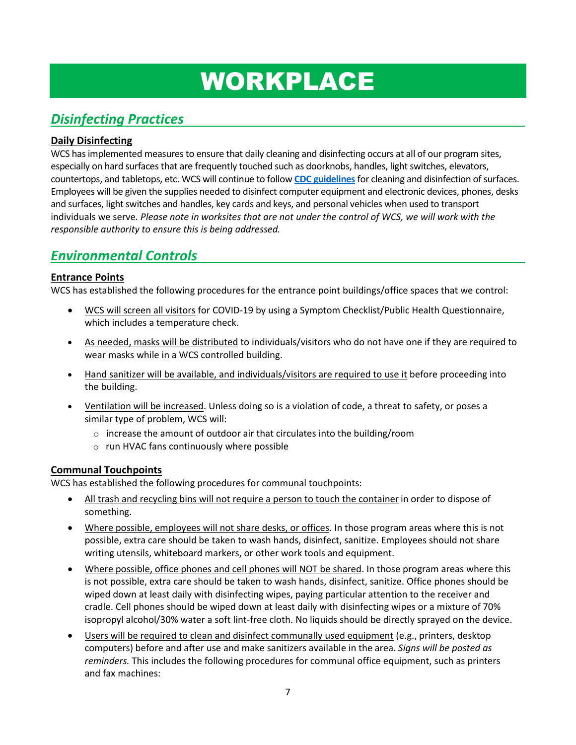# WORKPLACE

# *Disinfecting Practices*

## **Daily Disinfecting**

WCS has implemented measures to ensure that daily cleaning and disinfecting occurs at all of our program sites, especially on hard surfaces that are frequently touched such as doorknobs, handles, light switches, elevators, countertops, and tabletops, etc. WCS will continue to follow **[CDC guidelines](https://www.cdc.gov/coronavirus/2019-ncov/community/disinfecting-building-facility.html)**for cleaning and disinfection of surfaces. Employees will be given the supplies needed to disinfect computer equipment and electronic devices, phones, desks and surfaces, light switches and handles, key cards and keys, and personal vehicles when used to transport individuals we serve*. Please note in worksites that are not under the control of WCS, we will work with the responsible authority to ensure this is being addressed.*

# *Environmental Controls*

## **Entrance Points**

WCS has established the following procedures for the entrance point buildings/office spaces that we control:

- WCS will screen all visitors for COVID-19 by using a Symptom Checklist/Public Health Questionnaire, which includes a temperature check.
- As needed, masks will be distributed to individuals/visitors who do not have one if they are required to wear masks while in a WCS controlled building.
- Hand sanitizer will be available, and individuals/visitors are required to use it before proceeding into the building.
- Ventilation will be increased. Unless doing so is a violation of code, a threat to safety, or poses a similar type of problem, WCS will:
	- $\circ$  increase the amount of outdoor air that circulates into the building/room
	- o run HVAC fans continuously where possible

## **Communal Touchpoints**

WCS has established the following procedures for communal touchpoints:

- All trash and recycling bins will not require a person to touch the container in order to dispose of something.
- Where possible, employees will not share desks, or offices. In those program areas where this is not possible, extra care should be taken to wash hands, disinfect, sanitize. Employees should not share writing utensils, whiteboard markers, or other work tools and equipment.
- Where possible, office phones and cell phones will NOT be shared. In those program areas where this is not possible, extra care should be taken to wash hands, disinfect, sanitize. Office phones should be wiped down at least daily with disinfecting wipes, paying particular attention to the receiver and cradle. Cell phones should be wiped down at least daily with disinfecting wipes or a mixture of 70% isopropyl alcohol/30% water a soft lint-free cloth. No liquids should be directly sprayed on the device.
- Users will be required to clean and disinfect communally used equipment (e.g., printers, desktop computers) before and after use and make sanitizers available in the area. *Signs will be posted as reminders.* This includes the following procedures for communal office equipment, such as printers and fax machines: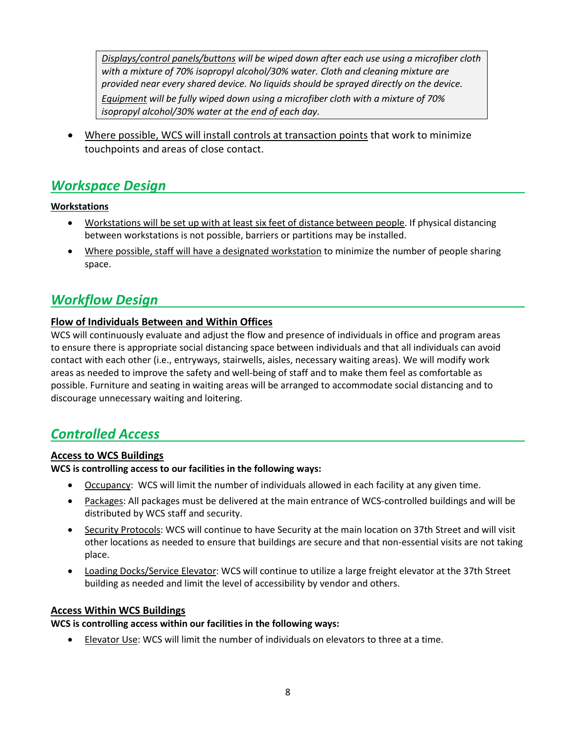*Displays/control panels/buttons will be wiped down after each use using a microfiber cloth with a mixture of 70% isopropyl alcohol/30% water. Cloth and cleaning mixture are provided near every shared device. No liquids should be sprayed directly on the device. Equipment will be fully wiped down using a microfiber cloth with a mixture of 70% isopropyl alcohol/30% water at the end of each day.* 

Where possible, WCS will install controls at transaction points that work to minimize touchpoints and areas of close contact.

# *Workspace Design*

## **Workstations**

- Workstations will be set up with at least six feet of distance between people. If physical distancing between workstations is not possible, barriers or partitions may be installed.
- Where possible, staff will have a designated workstation to minimize the number of people sharing space.

## *Workflow Design*

## **Flow of Individuals Between and Within Offices**

WCS will continuously evaluate and adjust the flow and presence of individuals in office and program areas to ensure there is appropriate social distancing space between individuals and that all individuals can avoid contact with each other (i.e., entryways, stairwells, aisles, necessary waiting areas). We will modify work areas as needed to improve the safety and well-being of staff and to make them feel as comfortable as possible. Furniture and seating in waiting areas will be arranged to accommodate social distancing and to discourage unnecessary waiting and loitering.

## *Controlled Access*

### **Access to WCS Buildings**

### **WCS is controlling access to our facilities in the following ways:**

- Occupancy: WCS will limit the number of individuals allowed in each facility at any given time.
- Packages: All packages must be delivered at the main entrance of WCS-controlled buildings and will be distributed by WCS staff and security.
- Security Protocols: WCS will continue to have Security at the main location on 37th Street and will visit other locations as needed to ensure that buildings are secure and that non-essential visits are not taking place.
- Loading Docks/Service Elevator: WCS will continue to utilize a large freight elevator at the 37th Street building as needed and limit the level of accessibility by vendor and others.

### **Access Within WCS Buildings**

#### **WCS is controlling access within our facilities in the following ways:**

• Elevator Use: WCS will limit the number of individuals on elevators to three at a time.